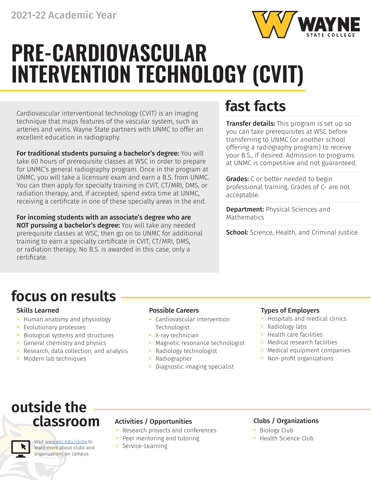

# **PRE-CARDIOVASCULAR INTERVENTION TECHNOLOGY (CVIT)**

Cardiovascular interventional technology (CVIT) is an imaging technique that maps features of the vascular system, such as arteries and veins. Wayne State partners with UNMC to offer an excellent education in radiography.

For traditional students pursuing a bachelor's degree: You will take 60 hours of prerequisite classes at WSC in order to prepare for UNMC's general radiography program. Once in the program at UNMC, you will take a licensure exam and earn a B.S. from UNMC. You can then apply for specialty training in CVIT, CT/MRI, DMS, or radiation therapy, and, if accepted, spend extra time at UNMC, receiving a certificate in one of these specialty areas in the end.

For incoming students with an associate's degree who are NOT pursuing a bachelor's degree: You will take any needed prerequisite classes at WSC, then go on to UNMC for additional training to earn a specialty certificate in CVIT, CT/MRI, DMS, or radiation therapy. No B.S. is awarded in this case, only a certificate.

# **fast facts**

**Transfer details:** This program is set up so you can take prerequisites at WSC before transferring to UNMC (or another school offering a radiography program) to receive your B.S., if desired. Admission to programs at UNMC is competitive and not guaranteed.

**Grades:** C or better needed to begin professional training. Grades of C- are not acceptable.

**Department: Physical Sciences and** Mathematics

School: Science, Health, and Criminal Justice

# **focus on results**

- **•** Human anatomy and physiology
- **•** Evolutionary processes
- **•** Biological systems and structures
- **•** General chemistry and physics
- **•** Research, data collection, and analysis
- **•** Modern lab techniques

- **•** Cardiovascular Intervention Technologist
- **•** X-ray technician
- **•** Magnetic resonance technologist
- **•** Radiology technologist
- **•** Radiographer
- **•** Diagnostic imaging specialist

### Skills Learned **Possible Careers Possible Careers Possible Careers Possible Careers**

- **•** Hospitals and medical clinics
- **•** Radiology labs
- **•** Health care facilities
- **•** Medical research facilities
- **•** Medical equipment companies
- **•** Non-profit organizations

## **outside the classroom**

Visit [www.wsc.edu/clubs](https://www.wsc.edu/clubs) to learn more about clubs and organizations on campus.

### Activities / Opportunities **Clubs / Organizations**

- **•** Research projects and conferences
- **•** Peer mentoring and tutoring
- **•** Service-Learning

- **•** Biology Club
- **•** Health Science Club